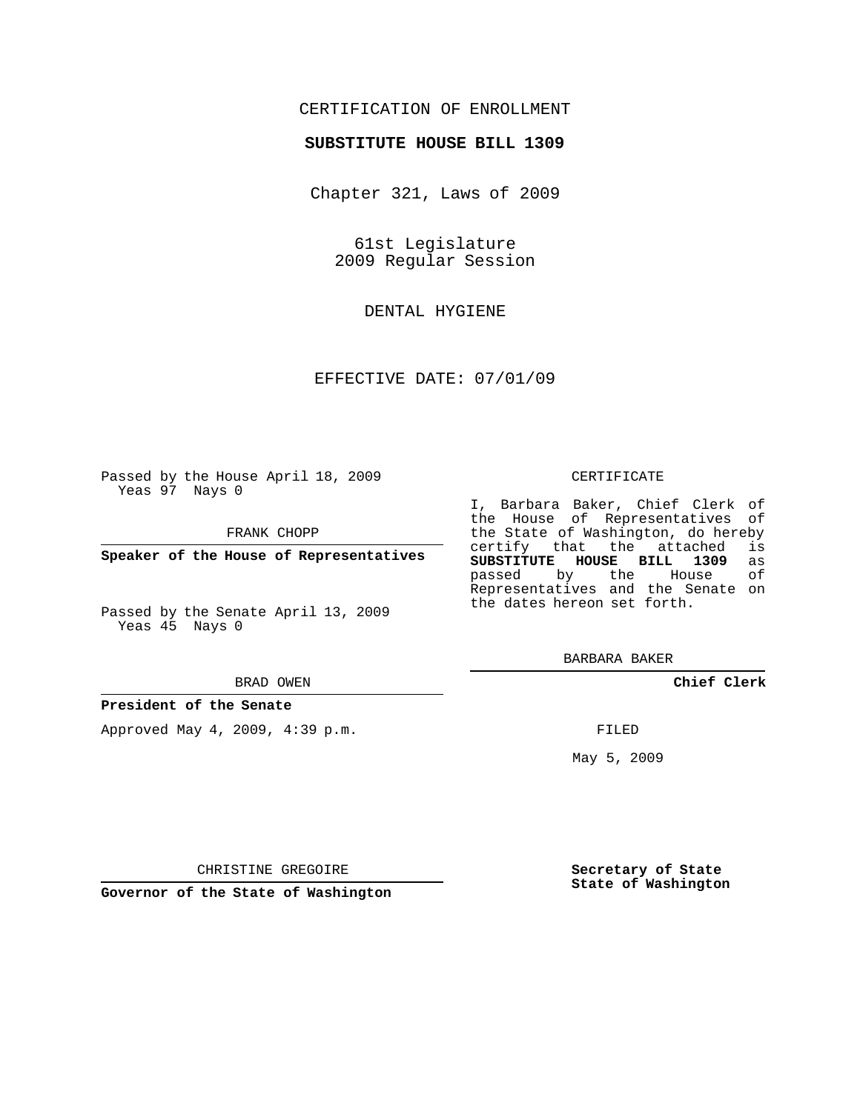## CERTIFICATION OF ENROLLMENT

#### **SUBSTITUTE HOUSE BILL 1309**

Chapter 321, Laws of 2009

61st Legislature 2009 Regular Session

DENTAL HYGIENE

EFFECTIVE DATE: 07/01/09

Passed by the House April 18, 2009 Yeas 97 Nays 0

FRANK CHOPP

**Speaker of the House of Representatives**

Passed by the Senate April 13, 2009 Yeas 45 Nays 0

#### BRAD OWEN

#### **President of the Senate**

Approved May 4, 2009, 4:39 p.m.

#### CERTIFICATE

I, Barbara Baker, Chief Clerk of the House of Representatives of the State of Washington, do hereby<br>certify that the attached is certify that the attached **SUBSTITUTE HOUSE BILL 1309** as passed by the Representatives and the Senate on the dates hereon set forth.

BARBARA BAKER

**Chief Clerk**

FILED

May 5, 2009

**Secretary of State State of Washington**

CHRISTINE GREGOIRE

**Governor of the State of Washington**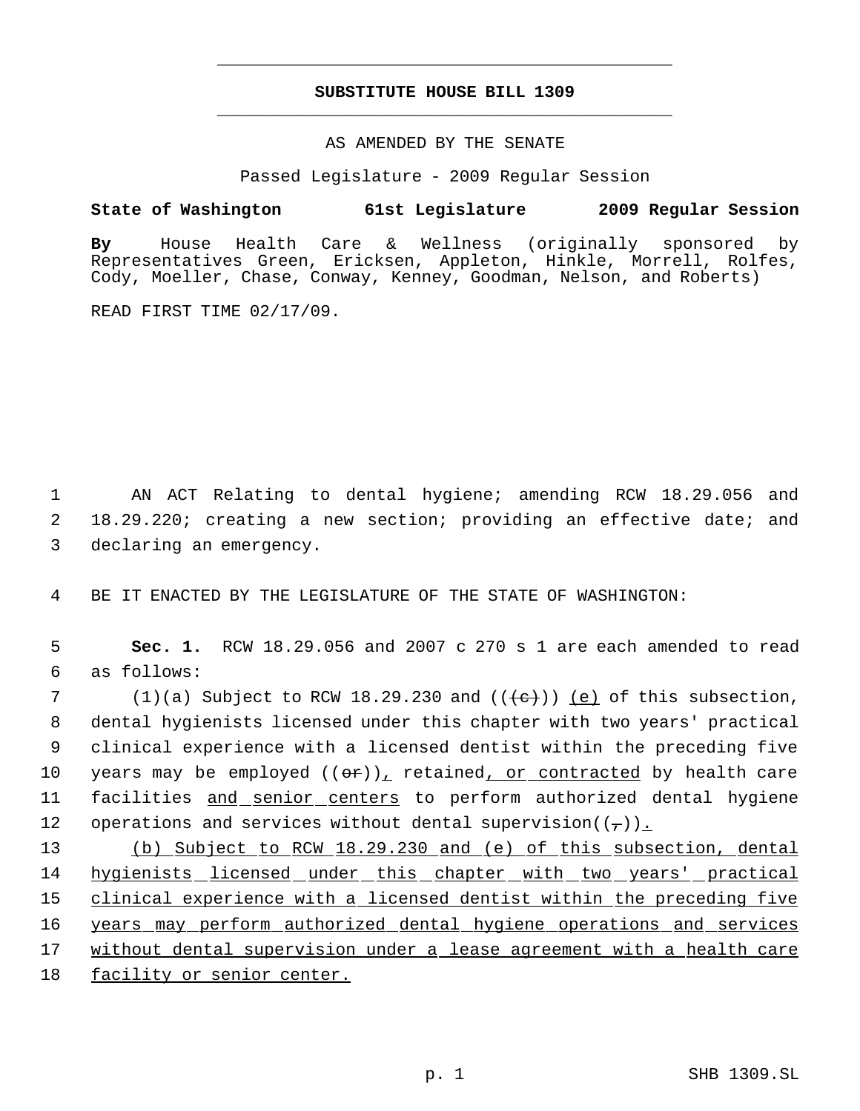# **SUBSTITUTE HOUSE BILL 1309** \_\_\_\_\_\_\_\_\_\_\_\_\_\_\_\_\_\_\_\_\_\_\_\_\_\_\_\_\_\_\_\_\_\_\_\_\_\_\_\_\_\_\_\_\_

\_\_\_\_\_\_\_\_\_\_\_\_\_\_\_\_\_\_\_\_\_\_\_\_\_\_\_\_\_\_\_\_\_\_\_\_\_\_\_\_\_\_\_\_\_

### AS AMENDED BY THE SENATE

Passed Legislature - 2009 Regular Session

## **State of Washington 61st Legislature 2009 Regular Session**

**By** House Health Care & Wellness (originally sponsored by Representatives Green, Ericksen, Appleton, Hinkle, Morrell, Rolfes, Cody, Moeller, Chase, Conway, Kenney, Goodman, Nelson, and Roberts)

READ FIRST TIME 02/17/09.

 1 AN ACT Relating to dental hygiene; amending RCW 18.29.056 and 2 18.29.220; creating a new section; providing an effective date; and 3 declaring an emergency.

4 BE IT ENACTED BY THE LEGISLATURE OF THE STATE OF WASHINGTON:

 5 **Sec. 1.** RCW 18.29.056 and 2007 c 270 s 1 are each amended to read 6 as follows:

7 (1)(a) Subject to RCW 18.29.230 and  $((+e))$  (e) of this subsection, 8 dental hygienists licensed under this chapter with two years' practical 9 clinical experience with a licensed dentist within the preceding five 10 years may be employed  $((e^*)$ , retained, or contracted by health care 11 facilities and senior centers to perform authorized dental hygiene 12 operations and services without dental supervision( $(\tau)$ ).

 (b) Subject to RCW 18.29.230 and (e) of this subsection, dental 14 hygienists licensed under this chapter with two years' practical clinical experience with a licensed dentist within the preceding five 16 years may perform authorized dental hygiene operations and services without dental supervision under a lease agreement with a health care facility or senior center.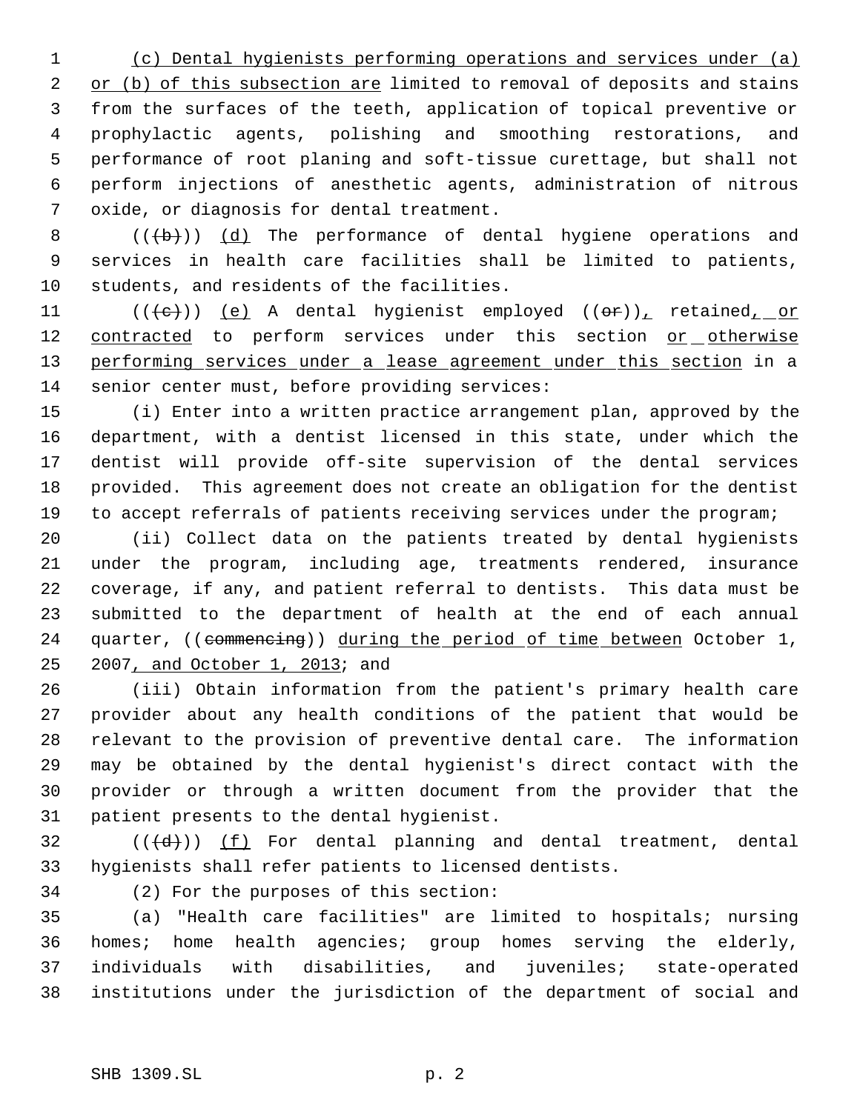(c) Dental hygienists performing operations and services under (a) 2 or (b) of this subsection are limited to removal of deposits and stains from the surfaces of the teeth, application of topical preventive or prophylactic agents, polishing and smoothing restorations, and performance of root planing and soft-tissue curettage, but shall not perform injections of anesthetic agents, administration of nitrous oxide, or diagnosis for dental treatment.

8  $((+b))$   $(d)$  The performance of dental hygiene operations and services in health care facilities shall be limited to patients, students, and residents of the facilities.

11  $((\{e\})$  (e) A dental hygienist employed  $((\theta f))^r$  retained, or 12 contracted to perform services under this section or otherwise 13 performing services under a lease agreement under this section in a senior center must, before providing services:

 (i) Enter into a written practice arrangement plan, approved by the department, with a dentist licensed in this state, under which the dentist will provide off-site supervision of the dental services provided. This agreement does not create an obligation for the dentist to accept referrals of patients receiving services under the program;

 (ii) Collect data on the patients treated by dental hygienists under the program, including age, treatments rendered, insurance coverage, if any, and patient referral to dentists. This data must be submitted to the department of health at the end of each annual 24 quarter, ((commencing)) during the period of time between October 1, 25 2007, and October 1, 2013; and

 (iii) Obtain information from the patient's primary health care provider about any health conditions of the patient that would be relevant to the provision of preventive dental care. The information may be obtained by the dental hygienist's direct contact with the provider or through a written document from the provider that the patient presents to the dental hygienist.

 (( $\left(\frac{d}{d}\right)$ ) (f) For dental planning and dental treatment, dental hygienists shall refer patients to licensed dentists.

(2) For the purposes of this section:

 (a) "Health care facilities" are limited to hospitals; nursing homes; home health agencies; group homes serving the elderly, individuals with disabilities, and juveniles; state-operated institutions under the jurisdiction of the department of social and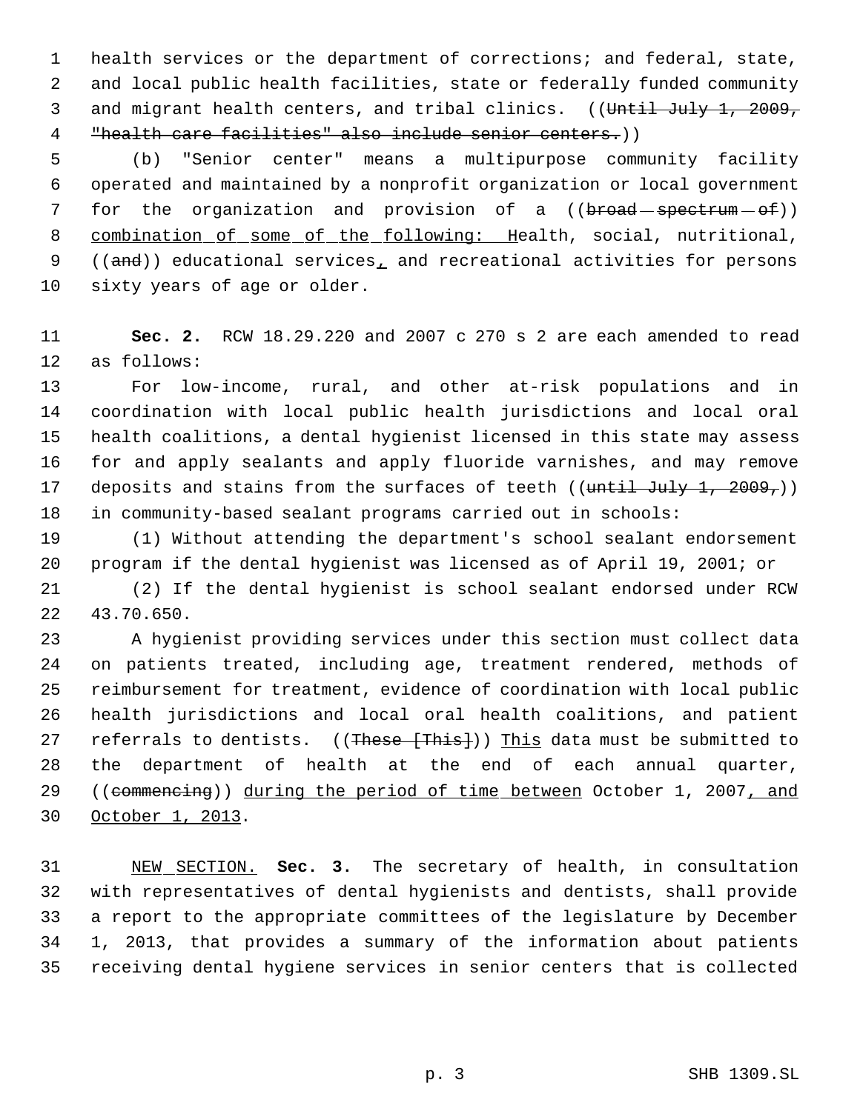health services or the department of corrections; and federal, state, and local public health facilities, state or federally funded community 3 and migrant health centers, and tribal clinics. ((Until July 1, 2009, "health care facilities" also include senior centers.))

 (b) "Senior center" means a multipurpose community facility operated and maintained by a nonprofit organization or local government 7 for the organization and provision of a ((broad spectrum - of)) 8 combination of some of the following: Health, social, nutritional, 9 (( $and$ )) educational services<sub>1</sub> and recreational activities for persons sixty years of age or older.

 **Sec. 2.** RCW 18.29.220 and 2007 c 270 s 2 are each amended to read as follows:

 For low-income, rural, and other at-risk populations and in coordination with local public health jurisdictions and local oral health coalitions, a dental hygienist licensed in this state may assess for and apply sealants and apply fluoride varnishes, and may remove 17 deposits and stains from the surfaces of teeth ((until July 1, 2009,)) in community-based sealant programs carried out in schools:

 (1) Without attending the department's school sealant endorsement program if the dental hygienist was licensed as of April 19, 2001; or

 (2) If the dental hygienist is school sealant endorsed under RCW 43.70.650.

 A hygienist providing services under this section must collect data on patients treated, including age, treatment rendered, methods of reimbursement for treatment, evidence of coordination with local public health jurisdictions and local oral health coalitions, and patient 27 referrals to dentists. ((These [This])) This data must be submitted to the department of health at the end of each annual quarter, 29 ((commencing)) during the period of time between October 1, 2007, and October 1, 2013.

 NEW SECTION. **Sec. 3.** The secretary of health, in consultation with representatives of dental hygienists and dentists, shall provide a report to the appropriate committees of the legislature by December 1, 2013, that provides a summary of the information about patients receiving dental hygiene services in senior centers that is collected